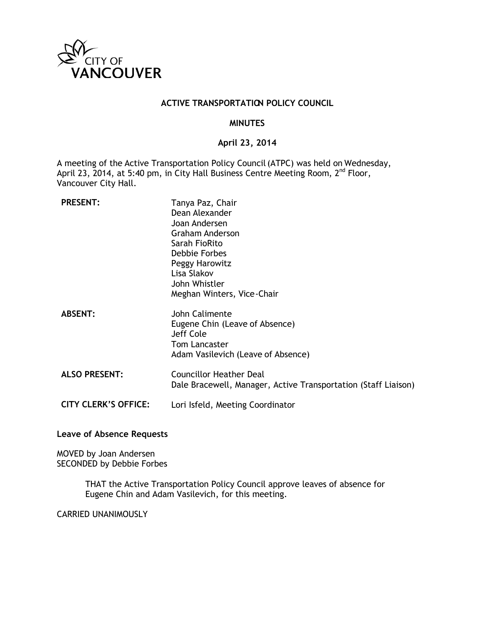

#### **ACTIVE TRANSPORTATION POLICY COUNCIL**

#### **MINUTES**

#### **April 23, 2014**

A meeting of the Active Transportation Policy Council (ATPC) was held on Wednesday, April 23, 2014, at 5:40 pm, in City Hall Business Centre Meeting Room, 2<sup>nd</sup> Floor, Vancouver City Hall.

| <b>PRESENT:</b>             | Tanya Paz, Chair<br>Dean Alexander<br>Joan Andersen<br><b>Graham Anderson</b><br>Sarah FioRito<br>Debbie Forbes<br>Peggy Harowitz<br>Lisa Slakov<br>John Whistler<br>Meghan Winters, Vice-Chair |
|-----------------------------|-------------------------------------------------------------------------------------------------------------------------------------------------------------------------------------------------|
| <b>ABSENT:</b>              | John Calimente<br>Eugene Chin (Leave of Absence)<br>Jeff Cole<br><b>Tom Lancaster</b><br>Adam Vasilevich (Leave of Absence)                                                                     |
| <b>ALSO PRESENT:</b>        | <b>Councillor Heather Deal</b><br>Dale Bracewell, Manager, Active Transportation (Staff Liaison)                                                                                                |
| <b>CITY CLERK'S OFFICE:</b> | Lori Isfeld, Meeting Coordinator                                                                                                                                                                |

#### **Leave of Absence Requests**

MOVED by Joan Andersen SECONDED by Debbie Forbes

> THAT the Active Transportation Policy Council approve leaves of absence for Eugene Chin and Adam Vasilevich, for this meeting.

CARRIED UNANIMOUSLY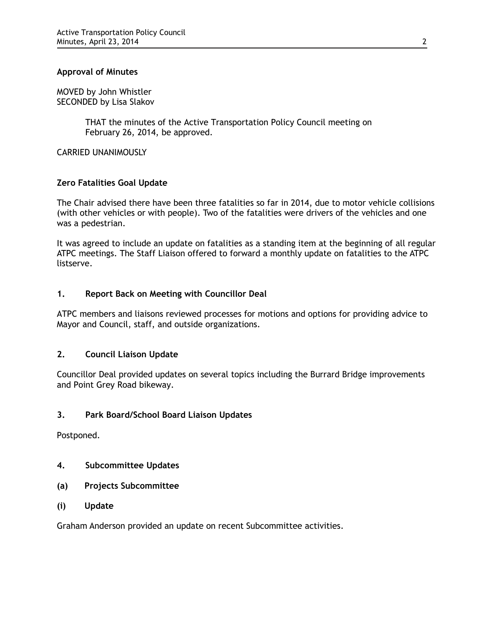## **Approval of Minutes**

MOVED by John Whistler SECONDED by Lisa Slakov

> THAT the minutes of the Active Transportation Policy Council meeting on February 26, 2014, be approved.

CARRIED UNANIMOUSLY

# **Zero Fatalities Goal Update**

The Chair advised there have been three fatalities so far in 2014, due to motor vehicle collisions (with other vehicles or with people). Two of the fatalities were drivers of the vehicles and one was a pedestrian.

It was agreed to include an update on fatalities as a standing item at the beginning of all regular ATPC meetings. The Staff Liaison offered to forward a monthly update on fatalities to the ATPC listserve.

# **1. Report Back on Meeting with Councillor Deal**

ATPC members and liaisons reviewed processes for motions and options for providing advice to Mayor and Council, staff, and outside organizations.

# **2. Council Liaison Update**

Councillor Deal provided updates on several topics including the Burrard Bridge improvements and Point Grey Road bikeway.

#### **3. Park Board/School Board Liaison Updates**

Postponed.

- **4. Subcommittee Updates**
- **(a) Projects Subcommittee**
- **(i) Update**

Graham Anderson provided an update on recent Subcommittee activities.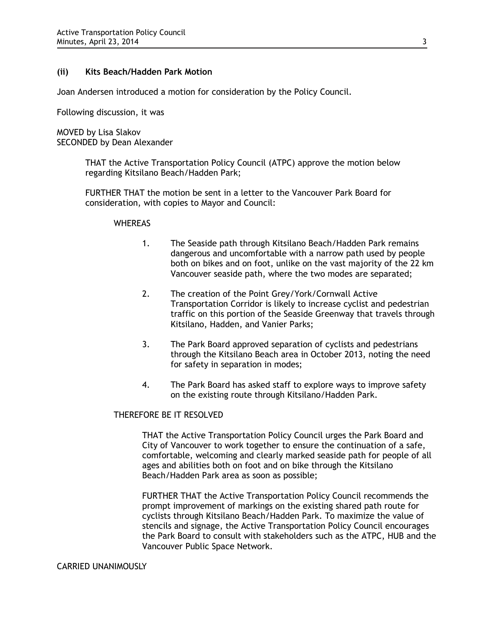#### **(ii) Kits Beach/Hadden Park Motion**

Joan Andersen introduced a motion for consideration by the Policy Council.

Following discussion, it was

MOVED by Lisa Slakov SECONDED by Dean Alexander

> THAT the Active Transportation Policy Council (ATPC) approve the motion below regarding Kitsilano Beach/Hadden Park;

FURTHER THAT the motion be sent in a letter to the Vancouver Park Board for consideration, with copies to Mayor and Council:

#### **WHEREAS**

- 1. The Seaside path through Kitsilano Beach/Hadden Park remains dangerous and uncomfortable with a narrow path used by people both on bikes and on foot, unlike on the vast majority of the 22 km Vancouver seaside path, where the two modes are separated;
- 2. The creation of the Point Grey/York/Cornwall Active Transportation Corridor is likely to increase cyclist and pedestrian traffic on this portion of the Seaside Greenway that travels through Kitsilano, Hadden, and Vanier Parks;
- 3. The Park Board approved separation of cyclists and pedestrians through the Kitsilano Beach area in October 2013, noting the need for safety in separation in modes;
- 4. The Park Board has asked staff to explore ways to improve safety on the existing route through Kitsilano/Hadden Park.

# THEREFORE BE IT RESOLVED

THAT the Active Transportation Policy Council urges the Park Board and City of Vancouver to work together to ensure the continuation of a safe, comfortable, welcoming and clearly marked seaside path for people of all ages and abilities both on foot and on bike through the Kitsilano Beach/Hadden Park area as soon as possible;

FURTHER THAT the Active Transportation Policy Council recommends the prompt improvement of markings on the existing shared path route for cyclists through Kitsilano Beach/Hadden Park. To maximize the value of stencils and signage, the Active Transportation Policy Council encourages the Park Board to consult with stakeholders such as the ATPC, HUB and the Vancouver Public Space Network.

#### CARRIED UNANIMOUSLY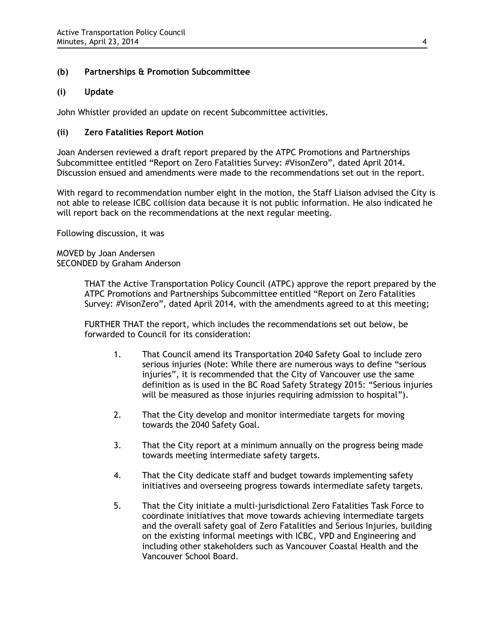# **(b) Partnerships & Promotion Subcommittee**

# **(i) Update**

John Whistler provided an update on recent Subcommittee activities.

## **(ii) Zero Fatalities Report Motion**

Joan Andersen reviewed a draft report prepared by the ATPC Promotions and Partnerships Subcommittee entitled "Report on Zero Fatalities Survey: #VisonZero", dated April 2014. Discussion ensued and amendments were made to the recommendations set out in the report.

With regard to recommendation number eight in the motion, the Staff Liaison advised the City is not able to release ICBC collision data because it is not public information. He also indicated he will report back on the recommendations at the next regular meeting.

Following discussion, it was

MOVED by Joan Andersen SECONDED by Graham Anderson

> THAT the Active Transportation Policy Council (ATPC) approve the report prepared by the ATPC Promotions and Partnerships Subcommittee entitled "Report on Zero Fatalities Survey: #VisonZero", dated April 2014, with the amendments agreed to at this meeting;

FURTHER THAT the report, which includes the recommendations set out below, be forwarded to Council for its consideration:

- 1. That Council amend its Transportation 2040 Safety Goal to include zero serious injuries (Note: While there are numerous ways to define "serious injuries", it is recommended that the City of Vancouver use the same definition as is used in the BC Road Safety Strategy 2015: "Serious injuries will be measured as those injuries requiring admission to hospital").
- 2. That the City develop and monitor intermediate targets for moving towards the 2040 Safety Goal.
- 3. That the City report at a minimum annually on the progress being made towards meeting intermediate safety targets.
- 4. That the City dedicate staff and budget towards implementing safety initiatives and overseeing progress towards intermediate safety targets.
- 5. That the City initiate a multi-jurisdictional Zero Fatalities Task Force to coordinate initiatives that move towards achieving intermediate targets and the overall safety goal of Zero Fatalities and Serious Injuries, building on the existing informal meetings with ICBC, VPD and Engineering and including other stakeholders such as Vancouver Coastal Health and the Vancouver School Board.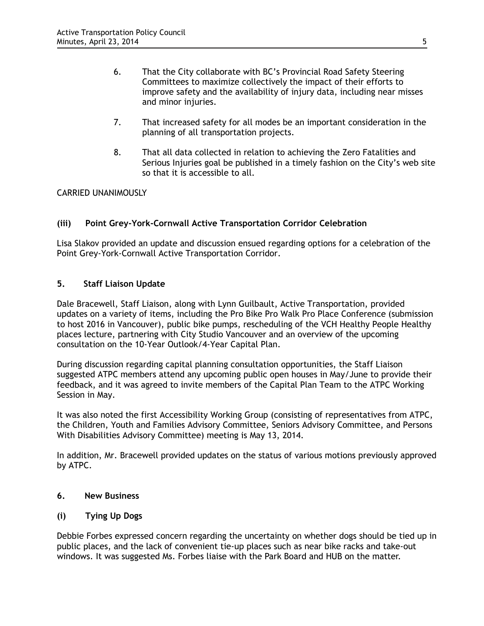- 6. That the City collaborate with BC's Provincial Road Safety Steering Committees to maximize collectively the impact of their efforts to improve safety and the availability of injury data, including near misses and minor injuries.
- 7. That increased safety for all modes be an important consideration in the planning of all transportation projects.
- 8. That all data collected in relation to achieving the Zero Fatalities and Serious Injuries goal be published in a timely fashion on the City's web site so that it is accessible to all.

# CARRIED UNANIMOUSLY

# **(iii) Point Grey-York-Cornwall Active Transportation Corridor Celebration**

Lisa Slakov provided an update and discussion ensued regarding options for a celebration of the Point Grey-York-Cornwall Active Transportation Corridor.

# **5. Staff Liaison Update**

Dale Bracewell, Staff Liaison, along with Lynn Guilbault, Active Transportation, provided updates on a variety of items, including the Pro Bike Pro Walk Pro Place Conference (submission to host 2016 in Vancouver), public bike pumps, rescheduling of the VCH Healthy People Healthy places lecture, partnering with City Studio Vancouver and an overview of the upcoming consultation on the 10-Year Outlook/4-Year Capital Plan.

During discussion regarding capital planning consultation opportunities, the Staff Liaison suggested ATPC members attend any upcoming public open houses in May/June to provide their feedback, and it was agreed to invite members of the Capital Plan Team to the ATPC Working Session in May.

It was also noted the first Accessibility Working Group (consisting of representatives from ATPC, the Children, Youth and Families Advisory Committee, Seniors Advisory Committee, and Persons With Disabilities Advisory Committee) meeting is May 13, 2014.

In addition, Mr. Bracewell provided updates on the status of various motions previously approved by ATPC.

## **6. New Business**

# **(i) Tying Up Dogs**

Debbie Forbes expressed concern regarding the uncertainty on whether dogs should be tied up in public places, and the lack of convenient tie-up places such as near bike racks and take-out windows. It was suggested Ms. Forbes liaise with the Park Board and HUB on the matter.